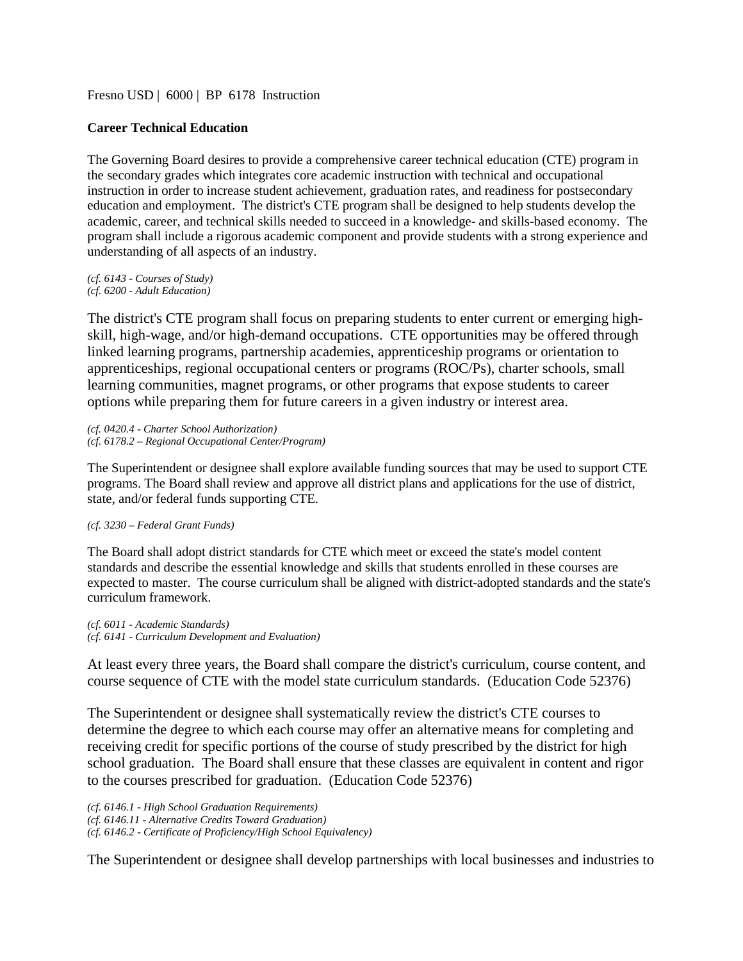[Fresno USD](http://www.fresnounified.org/board/policies/Policies/fusd/loaddistrictpolicy/1050.htm) | [6000](http://www.fresnounified.org/board/policies/Policies/fusd/policycategorylist/1050/6.htm) | BP 6178 Instruction

# **Career Technical Education**

The Governing Board desires to provide a comprehensive career technical education (CTE) program in the secondary grades which integrates core academic instruction with technical and occupational instruction in order to increase student achievement, graduation rates, and readiness for postsecondary education and employment. The district's CTE program shall be designed to help students develop the academic, career, and technical skills needed to succeed in a knowledge- and skills-based economy. The program shall include a rigorous academic component and provide students with a strong experience and understanding of all aspects of an industry.

*(cf. 6143 - Courses of Study) (cf. 6200 - Adult Education)*

The district's CTE program shall focus on preparing students to enter current or emerging highskill, high-wage, and/or high-demand occupations. CTE opportunities may be offered through linked learning programs, partnership academies, apprenticeship programs or orientation to apprenticeships, regional occupational centers or programs (ROC/Ps), charter schools, small learning communities, magnet programs, or other programs that expose students to career options while preparing them for future careers in a given industry or interest area.

*(cf. 0420.4 - Charter School Authorization) (cf. 6178.2 – Regional Occupational Center/Program)*

The Superintendent or designee shall explore available funding sources that may be used to support CTE programs. The Board shall review and approve all district plans and applications for the use of district, state, and/or federal funds supporting CTE.

## *(cf. 3230 – Federal Grant Funds)*

The Board shall adopt district standards for CTE which meet or exceed the state's model content standards and describe the essential knowledge and skills that students enrolled in these courses are expected to master. The course curriculum shall be aligned with district-adopted standards and the state's curriculum framework.

*(cf. 6011 - Academic Standards) (cf. 6141 - Curriculum Development and Evaluation)*

At least every three years, the Board shall compare the district's curriculum, course content, and course sequence of CTE with the model state curriculum standards. (Education Code 52376)

The Superintendent or designee shall systematically review the district's CTE courses to determine the degree to which each course may offer an alternative means for completing and receiving credit for specific portions of the course of study prescribed by the district for high school graduation. The Board shall ensure that these classes are equivalent in content and rigor to the courses prescribed for graduation. (Education Code 52376)

*(cf. 6146.1 - High School Graduation Requirements) (cf. 6146.11 - Alternative Credits Toward Graduation) (cf. 6146.2 - Certificate of Proficiency/High School Equivalency)*

The Superintendent or designee shall develop partnerships with local businesses and industries to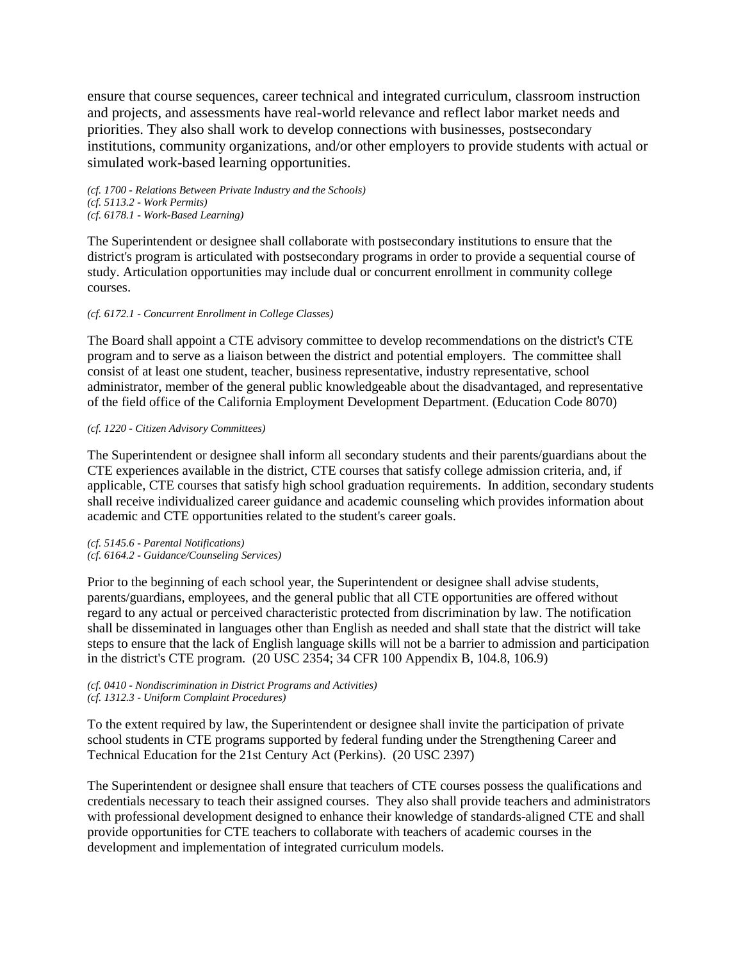ensure that course sequences, career technical and integrated curriculum, classroom instruction and projects, and assessments have real-world relevance and reflect labor market needs and priorities. They also shall work to develop connections with businesses, postsecondary institutions, community organizations, and/or other employers to provide students with actual or simulated work-based learning opportunities.

*(cf. 1700 - Relations Between Private Industry and the Schools) (cf. 5113.2 - Work Permits) (cf. 6178.1 - Work-Based Learning)*

The Superintendent or designee shall collaborate with postsecondary institutions to ensure that the district's program is articulated with postsecondary programs in order to provide a sequential course of study. Articulation opportunities may include dual or concurrent enrollment in community college courses.

## *(cf. 6172.1 - Concurrent Enrollment in College Classes)*

The Board shall appoint a CTE advisory committee to develop recommendations on the district's CTE program and to serve as a liaison between the district and potential employers. The committee shall consist of at least one student, teacher, business representative, industry representative, school administrator, member of the general public knowledgeable about the disadvantaged, and representative of the field office of the California Employment Development Department. (Education Code 8070)

## *(cf. 1220 - Citizen Advisory Committees)*

The Superintendent or designee shall inform all secondary students and their parents/guardians about the CTE experiences available in the district, CTE courses that satisfy college admission criteria, and, if applicable, CTE courses that satisfy high school graduation requirements. In addition, secondary students shall receive individualized career guidance and academic counseling which provides information about academic and CTE opportunities related to the student's career goals.

*(cf. 5145.6 - Parental Notifications) (cf. 6164.2 - Guidance/Counseling Services)*

Prior to the beginning of each school year, the Superintendent or designee shall advise students, parents/guardians, employees, and the general public that all CTE opportunities are offered without regard to any actual or perceived characteristic protected from discrimination by law. The notification shall be disseminated in languages other than English as needed and shall state that the district will take steps to ensure that the lack of English language skills will not be a barrier to admission and participation in the district's CTE program. (20 USC 2354; 34 CFR 100 Appendix B, 104.8, 106.9)

### *(cf. 0410 - Nondiscrimination in District Programs and Activities) (cf. 1312.3 - Uniform Complaint Procedures)*

To the extent required by law, the Superintendent or designee shall invite the participation of private school students in CTE programs supported by federal funding under the Strengthening Career and Technical Education for the 21st Century Act (Perkins). (20 USC 2397)

The Superintendent or designee shall ensure that teachers of CTE courses possess the qualifications and credentials necessary to teach their assigned courses. They also shall provide teachers and administrators with professional development designed to enhance their knowledge of standards-aligned CTE and shall provide opportunities for CTE teachers to collaborate with teachers of academic courses in the development and implementation of integrated curriculum models.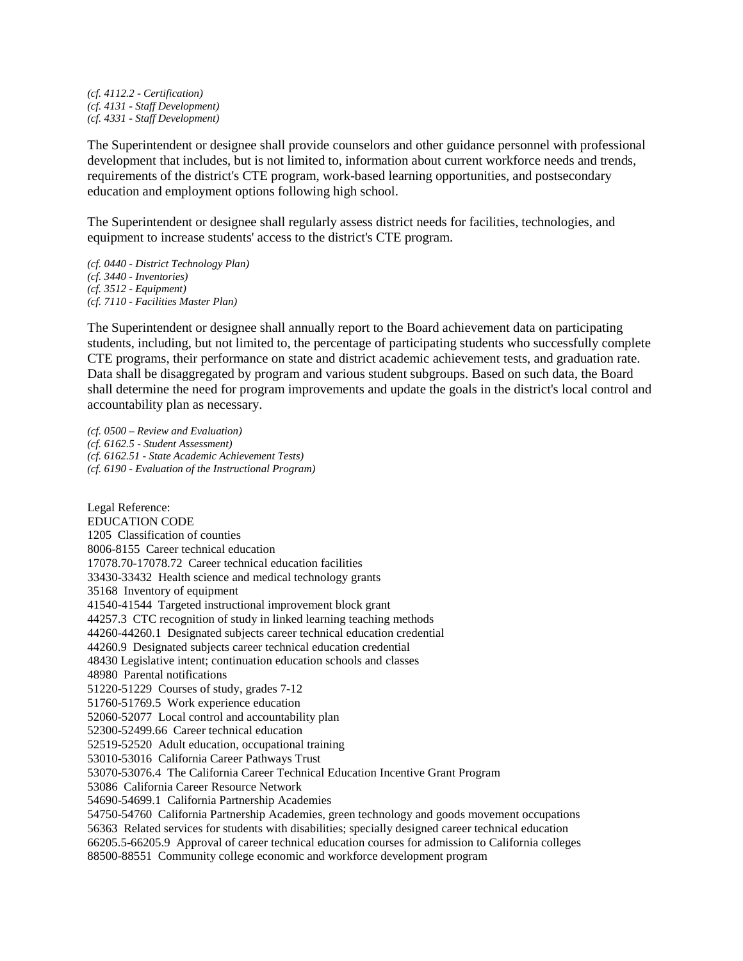*(cf. 4112.2 - Certification) (cf. 4131 - Staff Development) (cf. 4331 - Staff Development)*

The Superintendent or designee shall provide counselors and other guidance personnel with professional development that includes, but is not limited to, information about current workforce needs and trends, requirements of the district's CTE program, work-based learning opportunities, and postsecondary education and employment options following high school.

The Superintendent or designee shall regularly assess district needs for facilities, technologies, and equipment to increase students' access to the district's CTE program.

*(cf. 0440 - District Technology Plan) (cf. 3440 - Inventories) (cf. 3512 - Equipment) (cf. 7110 - Facilities Master Plan)*

The Superintendent or designee shall annually report to the Board achievement data on participating students, including, but not limited to, the percentage of participating students who successfully complete CTE programs, their performance on state and district academic achievement tests, and graduation rate. Data shall be disaggregated by program and various student subgroups. Based on such data, the Board shall determine the need for program improvements and update the goals in the district's local control and accountability plan as necessary.

*(cf. 0500 – Review and Evaluation) (cf. 6162.5 - Student Assessment) (cf. 6162.51 - State Academic Achievement Tests) (cf. 6190 - Evaluation of the Instructional Program)*

Legal Reference: EDUCATION CODE 1205 Classification of counties 8006-8155 Career technical education 17078.70-17078.72 Career technical education facilities 33430-33432 Health science and medical technology grants 35168 Inventory of equipment 41540-41544 Targeted instructional improvement block grant 44257.3 CTC recognition of study in linked learning teaching methods 44260-44260.1 Designated subjects career technical education credential 44260.9 Designated subjects career technical education credential [48430](http://www.fresnounified.org/board/policies/Policies/fusd/displaypolicy/132152/6.htm) Legislative intent; continuation education schools and classes 48980 Parental notifications 51220-51229 Courses of study, grades 7-12 51760-51769.5 Work experience education 52060-52077 Local control and accountability plan [52300-](http://www.fresnounified.org/board/policies/Policies/fusd/displaypolicy/132903/6.htm)52499.66 Career technical education 52519-52520 Adult education, occupational training 53010-53016 California Career Pathways Trust 53070-53076.4 The California Career Technical Education Incentive Grant Program 53086 California Career Resource Network 54690-54699.1 California Partnership Academies 54750-54760 California Partnership Academies, green technology and goods movement occupations 56363 Related services for students with disabilities; specially designed career technical education 66205.5-66205.9 Approval of career technical education courses for admission to California colleges 88500-88551 Community college economic and workforce development program